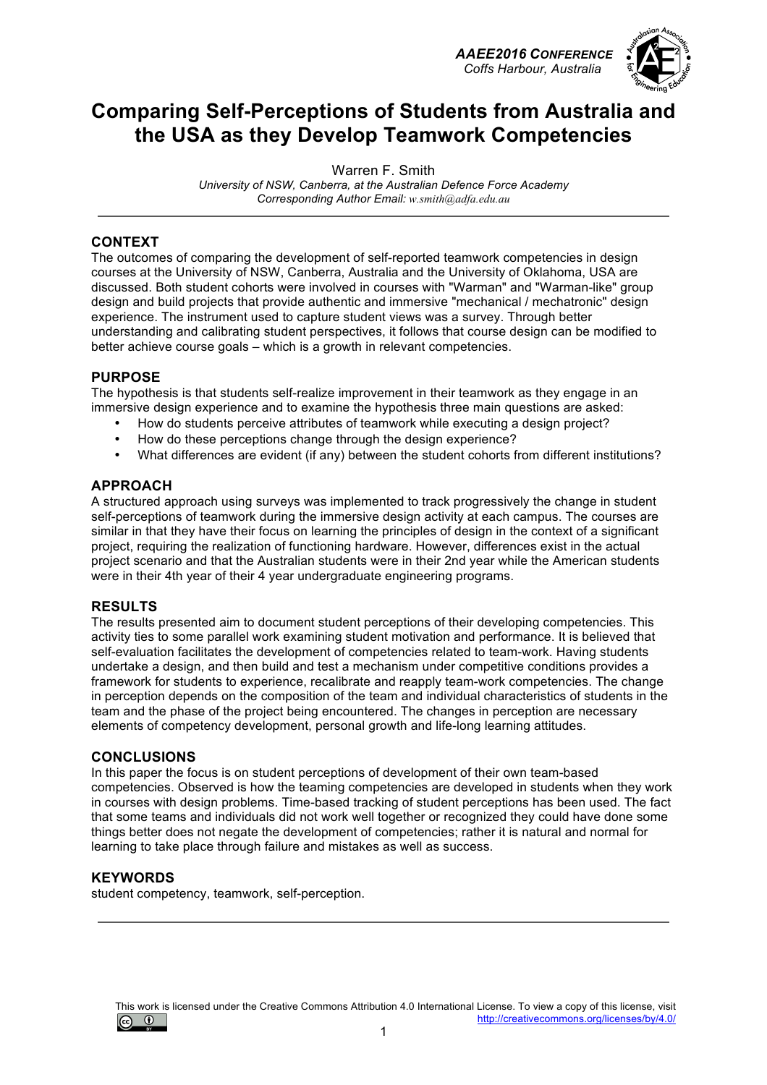*AAEE2016 CONFERENCE Coffs Harbour, Australia*



# **Comparing Self-Perceptions of Students from Australia and the USA as they Develop Teamwork Competencies**

Warren F. Smith

*University of NSW, Canberra, at the Australian Defence Force Academy Corresponding Author Email: w.smith@adfa.edu.au*

#### **CONTEXT**

The outcomes of comparing the development of self-reported teamwork competencies in design courses at the University of NSW, Canberra, Australia and the University of Oklahoma, USA are discussed. Both student cohorts were involved in courses with "Warman" and "Warman-like" group design and build projects that provide authentic and immersive "mechanical / mechatronic" design experience. The instrument used to capture student views was a survey. Through better understanding and calibrating student perspectives, it follows that course design can be modified to better achieve course goals – which is a growth in relevant competencies.

#### **PURPOSE**

The hypothesis is that students self-realize improvement in their teamwork as they engage in an immersive design experience and to examine the hypothesis three main questions are asked:

- How do students perceive attributes of teamwork while executing a design project?
- How do these perceptions change through the design experience?
- What differences are evident (if any) between the student cohorts from different institutions?

#### **APPROACH**

A structured approach using surveys was implemented to track progressively the change in student self-perceptions of teamwork during the immersive design activity at each campus. The courses are similar in that they have their focus on learning the principles of design in the context of a significant project, requiring the realization of functioning hardware. However, differences exist in the actual project scenario and that the Australian students were in their 2nd year while the American students were in their 4th year of their 4 year undergraduate engineering programs.

### **RESULTS**

The results presented aim to document student perceptions of their developing competencies. This activity ties to some parallel work examining student motivation and performance. It is believed that self-evaluation facilitates the development of competencies related to team-work. Having students undertake a design, and then build and test a mechanism under competitive conditions provides a framework for students to experience, recalibrate and reapply team-work competencies. The change in perception depends on the composition of the team and individual characteristics of students in the team and the phase of the project being encountered. The changes in perception are necessary elements of competency development, personal growth and life-long learning attitudes.

#### **CONCLUSIONS**

In this paper the focus is on student perceptions of development of their own team-based competencies. Observed is how the teaming competencies are developed in students when they work in courses with design problems. Time-based tracking of student perceptions has been used. The fact that some teams and individuals did not work well together or recognized they could have done some things better does not negate the development of competencies; rather it is natural and normal for learning to take place through failure and mistakes as well as success.

#### **KEYWORDS**

student competency, teamwork, self-perception.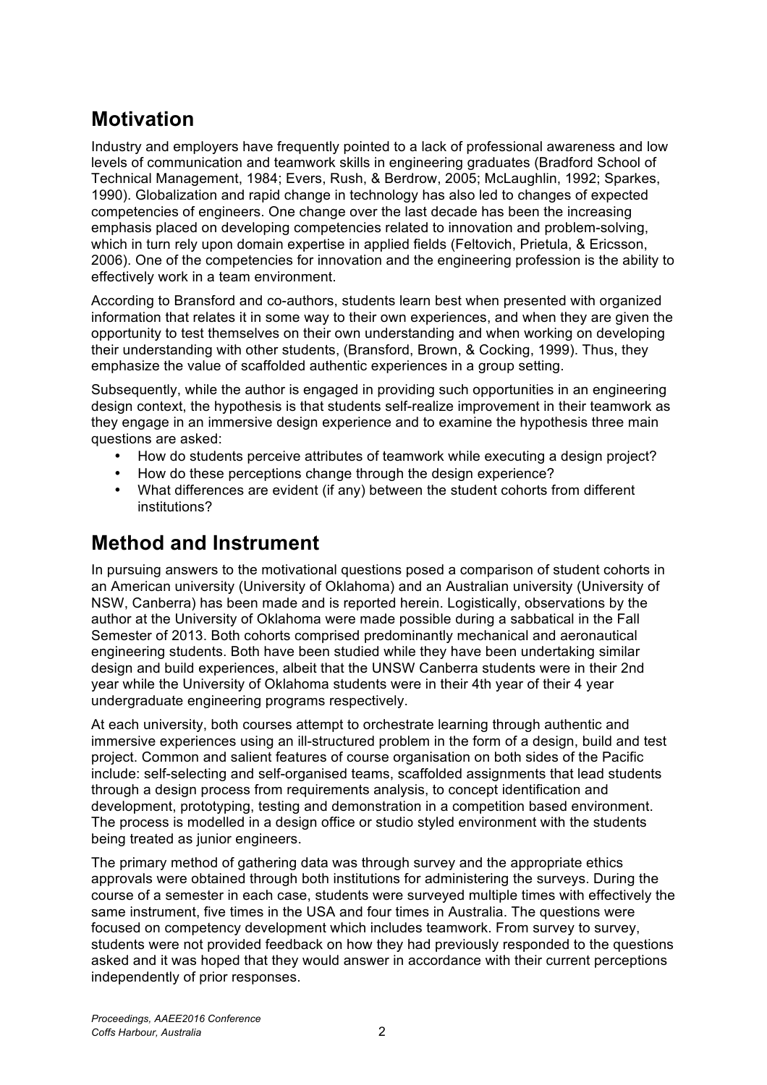# **Motivation**

Industry and employers have frequently pointed to a lack of professional awareness and low levels of communication and teamwork skills in engineering graduates (Bradford School of Technical Management, 1984; Evers, Rush, & Berdrow, 2005; McLaughlin, 1992; Sparkes, 1990). Globalization and rapid change in technology has also led to changes of expected competencies of engineers. One change over the last decade has been the increasing emphasis placed on developing competencies related to innovation and problem-solving, which in turn rely upon domain expertise in applied fields (Feltovich, Prietula, & Ericsson, 2006). One of the competencies for innovation and the engineering profession is the ability to effectively work in a team environment.

According to Bransford and co-authors, students learn best when presented with organized information that relates it in some way to their own experiences, and when they are given the opportunity to test themselves on their own understanding and when working on developing their understanding with other students, (Bransford, Brown, & Cocking, 1999). Thus, they emphasize the value of scaffolded authentic experiences in a group setting.

Subsequently, while the author is engaged in providing such opportunities in an engineering design context, the hypothesis is that students self-realize improvement in their teamwork as they engage in an immersive design experience and to examine the hypothesis three main questions are asked:

- How do students perceive attributes of teamwork while executing a design project?
- How do these perceptions change through the design experience?
- What differences are evident (if any) between the student cohorts from different institutions?

## **Method and Instrument**

In pursuing answers to the motivational questions posed a comparison of student cohorts in an American university (University of Oklahoma) and an Australian university (University of NSW, Canberra) has been made and is reported herein. Logistically, observations by the author at the University of Oklahoma were made possible during a sabbatical in the Fall Semester of 2013. Both cohorts comprised predominantly mechanical and aeronautical engineering students. Both have been studied while they have been undertaking similar design and build experiences, albeit that the UNSW Canberra students were in their 2nd year while the University of Oklahoma students were in their 4th year of their 4 year undergraduate engineering programs respectively.

At each university, both courses attempt to orchestrate learning through authentic and immersive experiences using an ill-structured problem in the form of a design, build and test project. Common and salient features of course organisation on both sides of the Pacific include: self-selecting and self-organised teams, scaffolded assignments that lead students through a design process from requirements analysis, to concept identification and development, prototyping, testing and demonstration in a competition based environment. The process is modelled in a design office or studio styled environment with the students being treated as junior engineers.

The primary method of gathering data was through survey and the appropriate ethics approvals were obtained through both institutions for administering the surveys. During the course of a semester in each case, students were surveyed multiple times with effectively the same instrument, five times in the USA and four times in Australia. The questions were focused on competency development which includes teamwork. From survey to survey, students were not provided feedback on how they had previously responded to the questions asked and it was hoped that they would answer in accordance with their current perceptions independently of prior responses.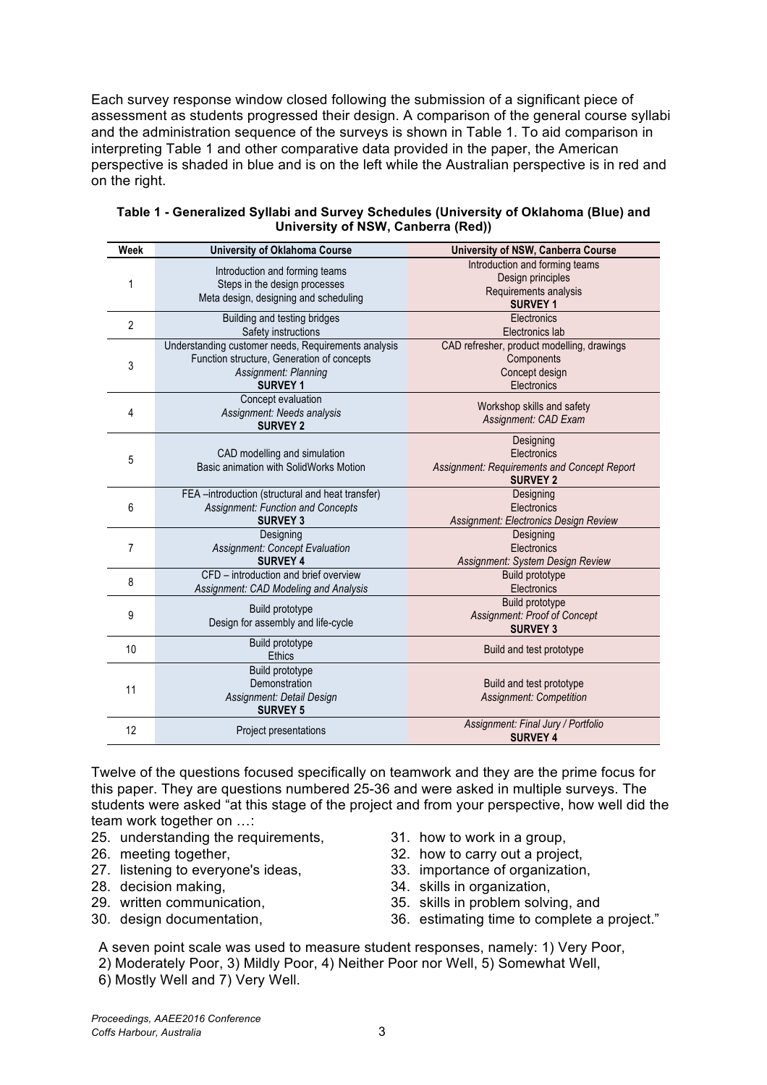Each survey response window closed following the submission of a significant piece of assessment as students progressed their design. A comparison of the general course syllabi and the administration sequence of the surveys is shown in Table 1. To aid comparison in interpreting Table 1 and other comparative data provided in the paper, the American perspective is shaded in blue and is on the left while the Australian perspective is in red and on the right.

| Week | <b>University of Oklahoma Course</b>                                                                                                         | University of NSW, Canberra Course                                                              |
|------|----------------------------------------------------------------------------------------------------------------------------------------------|-------------------------------------------------------------------------------------------------|
| 1    | Introduction and forming teams<br>Steps in the design processes<br>Meta design, designing and scheduling                                     | Introduction and forming teams<br>Design principles<br>Requirements analysis<br><b>SURVEY 1</b> |
| 2    | Building and testing bridges<br>Safety instructions                                                                                          | Electronics<br>Electronics lab                                                                  |
| 3    | Understanding customer needs, Requirements analysis<br>Function structure, Generation of concepts<br>Assignment: Planning<br><b>SURVEY 1</b> | CAD refresher, product modelling, drawings<br>Components<br>Concept design<br>Electronics       |
| 4    | Concept evaluation<br>Assignment: Needs analysis<br><b>SURVEY 2</b>                                                                          | Workshop skills and safety<br>Assignment: CAD Exam                                              |
| 5    | CAD modelling and simulation<br>Basic animation with SolidWorks Motion                                                                       | Designing<br>Electronics<br>Assignment: Requirements and Concept Report<br><b>SURVEY 2</b>      |
| 6    | FEA-introduction (structural and heat transfer)<br><b>Assignment: Function and Concepts</b><br><b>SURVEY 3</b>                               | Designing<br>Electronics<br>Assignment: Electronics Design Review                               |
| 7    | Designing<br><b>Assignment: Concept Evaluation</b><br><b>SURVEY 4</b>                                                                        | Designing<br>Electronics<br>Assignment: System Design Review                                    |
| 8    | CFD - introduction and brief overview<br>Assignment: CAD Modeling and Analysis                                                               | Build prototype<br>Electronics                                                                  |
| 9    | Build prototype<br>Design for assembly and life-cycle                                                                                        | Build prototype<br><b>Assignment: Proof of Concept</b><br><b>SURVEY 3</b>                       |
| 10   | Build prototype<br><b>Ethics</b>                                                                                                             | Build and test prototype                                                                        |
| 11   | Build prototype<br>Demonstration<br>Assignment: Detail Design<br><b>SURVEY 5</b>                                                             | Build and test prototype<br><b>Assignment: Competition</b>                                      |
| 12   | Project presentations                                                                                                                        | Assignment: Final Jury / Portfolio<br><b>SURVEY 4</b>                                           |

| Table 1 - Generalized Syllabi and Survey Schedules (University of Oklahoma (Blue) and |  |  |  |  |  |  |  |
|---------------------------------------------------------------------------------------|--|--|--|--|--|--|--|
| University of NSW, Canberra (Red))                                                    |  |  |  |  |  |  |  |

Twelve of the questions focused specifically on teamwork and they are the prime focus for this paper. They are questions numbered 25-36 and were asked in multiple surveys. The students were asked "at this stage of the project and from your perspective, how well did the team work together on …:

- 25. understanding the requirements, 31. how to work in a group,
- 
- 27. listening to everyone's ideas, 33. importance of organization,
- 
- 
- 
- 
- 26. meeting together, 32. how to carry out a project,
	-
- 28. decision making, 34. skills in organization,
- 29. written communication, 35. skills in problem solving, and
- 30. design documentation, 36. estimating time to complete a project."

A seven point scale was used to measure student responses, namely: 1) Very Poor,

- 2) Moderately Poor, 3) Mildly Poor, 4) Neither Poor nor Well, 5) Somewhat Well,
- 6) Mostly Well and 7) Very Well.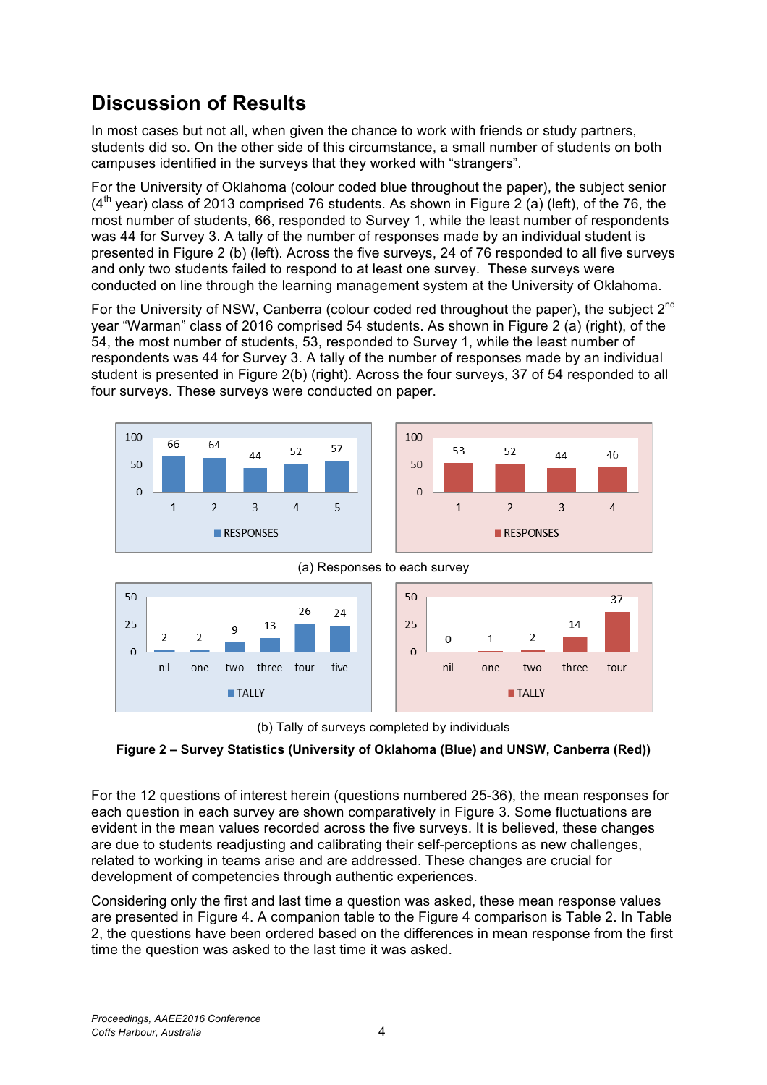# **Discussion of Results**

In most cases but not all, when given the chance to work with friends or study partners, students did so. On the other side of this circumstance, a small number of students on both campuses identified in the surveys that they worked with "strangers".

For the University of Oklahoma (colour coded blue throughout the paper), the subject senior  $(4<sup>th</sup>$  year) class of 2013 comprised 76 students. As shown in Figure 2 (a) (left), of the 76, the most number of students, 66, responded to Survey 1, while the least number of respondents was 44 for Survey 3. A tally of the number of responses made by an individual student is presented in Figure 2 (b) (left). Across the five surveys, 24 of 76 responded to all five surveys and only two students failed to respond to at least one survey. These surveys were conducted on line through the learning management system at the University of Oklahoma.

For the University of NSW, Canberra (colour coded red throughout the paper), the subject 2<sup>nd</sup> year "Warman" class of 2016 comprised 54 students. As shown in Figure 2 (a) (right), of the 54, the most number of students, 53, responded to Survey 1, while the least number of respondents was 44 for Survey 3. A tally of the number of responses made by an individual student is presented in Figure 2(b) (right). Across the four surveys, 37 of 54 responded to all four surveys. These surveys were conducted on paper.









(b) Tally of surveys completed by individuals

### **Figure 2 – Survey Statistics (University of Oklahoma (Blue) and UNSW, Canberra (Red))**

For the 12 questions of interest herein (questions numbered 25-36), the mean responses for each question in each survey are shown comparatively in Figure 3. Some fluctuations are evident in the mean values recorded across the five surveys. It is believed, these changes are due to students readjusting and calibrating their self-perceptions as new challenges, related to working in teams arise and are addressed. These changes are crucial for development of competencies through authentic experiences.

Considering only the first and last time a question was asked, these mean response values are presented in Figure 4. A companion table to the Figure 4 comparison is Table 2. In Table 2, the questions have been ordered based on the differences in mean response from the first time the question was asked to the last time it was asked.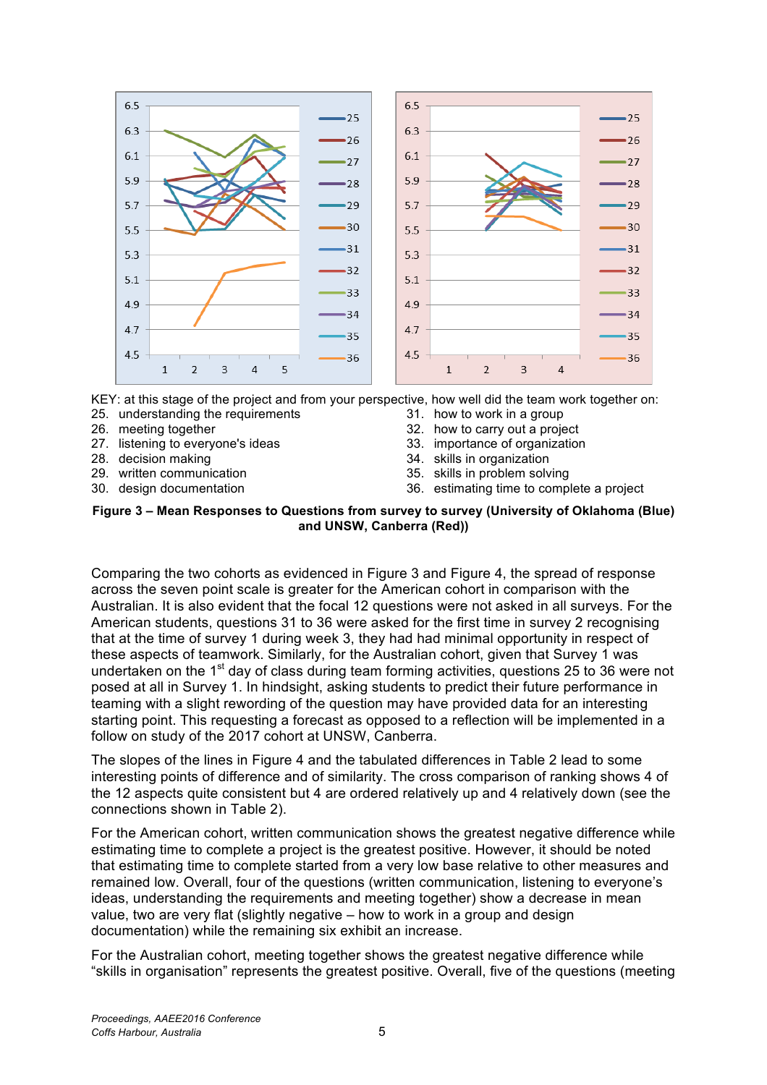

KEY: at this stage of the project and from your perspective, how well did the team work together on:

- 25. understanding the requirements
- 26. meeting together
- 27. listening to everyone's ideas
- 28. decision making
- 29. written communication
- 30. design documentation
- 31. how to work in a group
- 32. how to carry out a project
- 33. importance of organization
- 34. skills in organization
- 35. skills in problem solving
- 36. estimating time to complete a project

#### **Figure 3 – Mean Responses to Questions from survey to survey (University of Oklahoma (Blue) and UNSW, Canberra (Red))**

Comparing the two cohorts as evidenced in Figure 3 and Figure 4, the spread of response across the seven point scale is greater for the American cohort in comparison with the Australian. It is also evident that the focal 12 questions were not asked in all surveys. For the American students, questions 31 to 36 were asked for the first time in survey 2 recognising that at the time of survey 1 during week 3, they had had minimal opportunity in respect of these aspects of teamwork. Similarly, for the Australian cohort, given that Survey 1 was undertaken on the 1<sup>st</sup> day of class during team forming activities, questions 25 to 36 were not posed at all in Survey 1. In hindsight, asking students to predict their future performance in teaming with a slight rewording of the question may have provided data for an interesting starting point. This requesting a forecast as opposed to a reflection will be implemented in a follow on study of the 2017 cohort at UNSW, Canberra.

The slopes of the lines in Figure 4 and the tabulated differences in Table 2 lead to some interesting points of difference and of similarity. The cross comparison of ranking shows 4 of the 12 aspects quite consistent but 4 are ordered relatively up and 4 relatively down (see the connections shown in Table 2).

For the American cohort, written communication shows the greatest negative difference while estimating time to complete a project is the greatest positive. However, it should be noted that estimating time to complete started from a very low base relative to other measures and remained low. Overall, four of the questions (written communication, listening to everyone's ideas, understanding the requirements and meeting together) show a decrease in mean value, two are very flat (slightly negative – how to work in a group and design documentation) while the remaining six exhibit an increase.

For the Australian cohort, meeting together shows the greatest negative difference while "skills in organisation" represents the greatest positive. Overall, five of the questions (meeting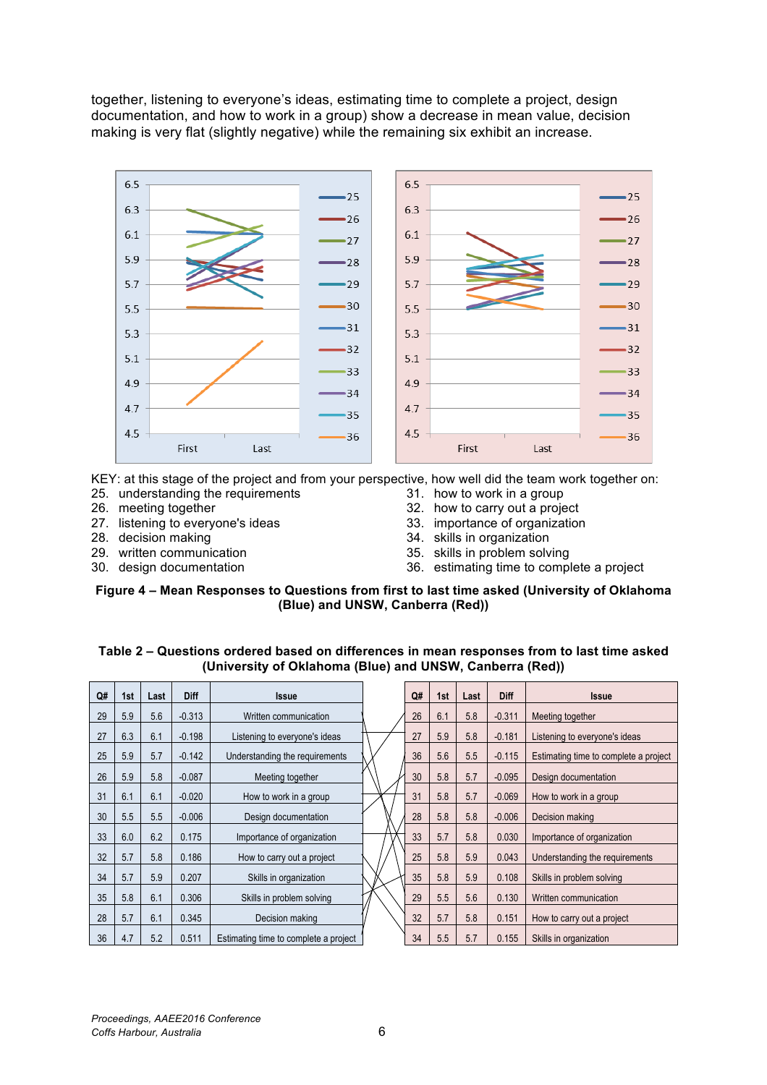together, listening to everyone's ideas, estimating time to complete a project, design documentation, and how to work in a group) show a decrease in mean value, decision making is very flat (slightly negative) while the remaining six exhibit an increase.



KEY: at this stage of the project and from your perspective, how well did the team work together on:

- 25. understanding the requirements
- 26. meeting together
- 27. listening to everyone's ideas
- 28. decision making
- 29. written communication
- 30. design documentation
- 31. how to work in a group
- 32. how to carry out a project
- 33. importance of organization
- 34. skills in organization
- 35. skills in problem solving
- 36. estimating time to complete a project

#### **Figure 4 – Mean Responses to Questions from first to last time asked (University of Oklahoma (Blue) and UNSW, Canberra (Red))**

#### **Table 2 – Questions ordered based on differences in mean responses from to last time asked (University of Oklahoma (Blue) and UNSW, Canberra (Red))**

| Q# | 1st | Last | Diff     | <b>Issue</b>                          | Q# | 1st | Last | Diff     | <b>Issue</b>                          |
|----|-----|------|----------|---------------------------------------|----|-----|------|----------|---------------------------------------|
| 29 | 5.9 | 5.6  | $-0.313$ | Written communication                 | 26 | 6.1 | 5.8  | $-0.311$ | Meeting together                      |
| 27 | 6.3 | 6.1  | $-0.198$ | Listening to everyone's ideas         | 27 | 5.9 | 5.8  | $-0.181$ | Listening to everyone's ideas         |
| 25 | 5.9 | 5.7  | $-0.142$ | Understanding the requirements        | 36 | 5.6 | 5.5  | $-0.115$ | Estimating time to complete a project |
| 26 | 5.9 | 5.8  | $-0.087$ | Meeting together                      | 30 | 5.8 | 5.7  | $-0.095$ | Design documentation                  |
| 31 | 6.1 | 6.1  | $-0.020$ | How to work in a group                | 31 | 5.8 | 5.7  | $-0.069$ | How to work in a group                |
| 30 | 5.5 | 5.5  | $-0.006$ | Design documentation                  | 28 | 5.8 | 5.8  | $-0.006$ | Decision making                       |
| 33 | 6.0 | 6.2  | 0.175    | Importance of organization            | 33 | 5.7 | 5.8  | 0.030    | Importance of organization            |
| 32 | 5.7 | 5.8  | 0.186    | How to carry out a project            | 25 | 5.8 | 5.9  | 0.043    | Understanding the requirements        |
| 34 | 5.7 | 5.9  | 0.207    | Skills in organization                | 35 | 5.8 | 5.9  | 0.108    | Skills in problem solving             |
| 35 | 5.8 | 6.1  | 0.306    | Skills in problem solving             | 29 | 5.5 | 5.6  | 0.130    | Written communication                 |
| 28 | 5.7 | 6.1  | 0.345    | Decision making                       | 32 | 5.7 | 5.8  | 0.151    | How to carry out a project            |
| 36 | 4.7 | 5.2  | 0.511    | Estimating time to complete a project | 34 | 5.5 | 5.7  | 0.155    | Skills in organization                |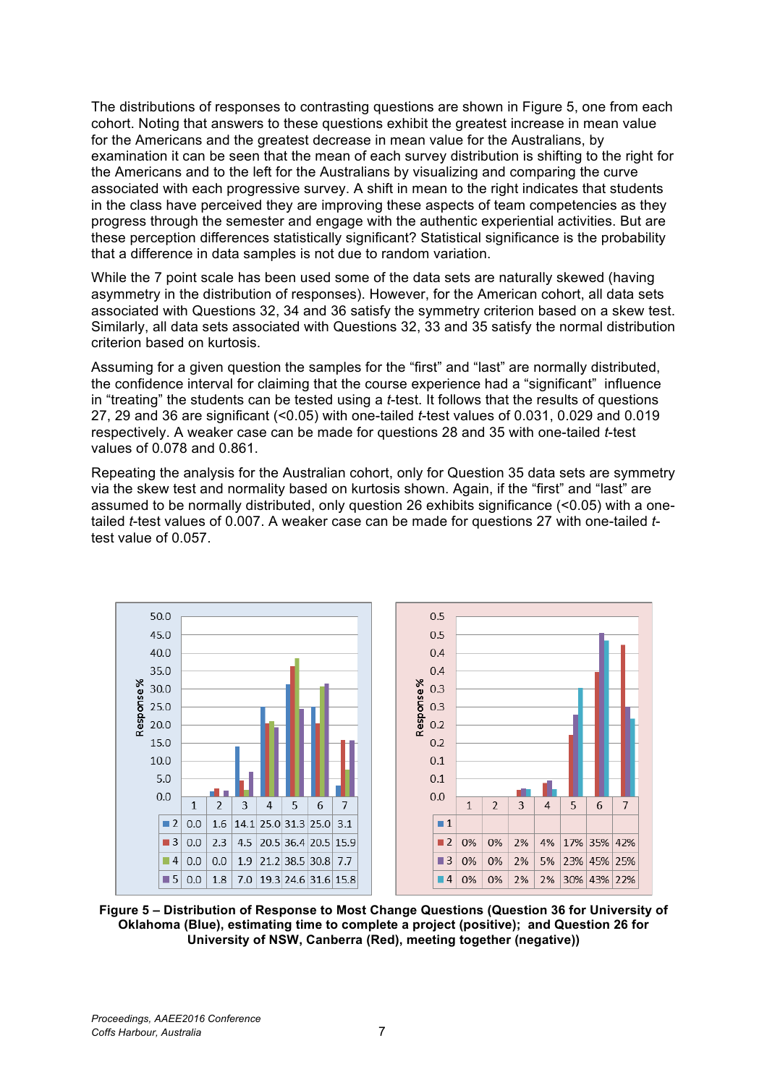The distributions of responses to contrasting questions are shown in Figure 5, one from each cohort. Noting that answers to these questions exhibit the greatest increase in mean value for the Americans and the greatest decrease in mean value for the Australians, by examination it can be seen that the mean of each survey distribution is shifting to the right for the Americans and to the left for the Australians by visualizing and comparing the curve associated with each progressive survey. A shift in mean to the right indicates that students in the class have perceived they are improving these aspects of team competencies as they progress through the semester and engage with the authentic experiential activities. But are these perception differences statistically significant? Statistical significance is the probability that a difference in data samples is not due to random variation.

While the 7 point scale has been used some of the data sets are naturally skewed (having asymmetry in the distribution of responses). However, for the American cohort, all data sets associated with Questions 32, 34 and 36 satisfy the symmetry criterion based on a skew test. Similarly, all data sets associated with Questions 32, 33 and 35 satisfy the normal distribution criterion based on kurtosis.

Assuming for a given question the samples for the "first" and "last" are normally distributed, the confidence interval for claiming that the course experience had a "significant" influence in "treating" the students can be tested using a *t*-test. It follows that the results of questions 27, 29 and 36 are significant (<0.05) with one-tailed *t*-test values of 0.031, 0.029 and 0.019 respectively. A weaker case can be made for questions 28 and 35 with one-tailed *t*-test values of 0.078 and 0.861.

Repeating the analysis for the Australian cohort, only for Question 35 data sets are symmetry via the skew test and normality based on kurtosis shown. Again, if the "first" and "last" are assumed to be normally distributed, only question 26 exhibits significance (<0.05) with a onetailed *t*-test values of 0.007. A weaker case can be made for questions 27 with one-tailed *t*test value of 0.057.



**Figure 5 – Distribution of Response to Most Change Questions (Question 36 for University of Oklahoma (Blue), estimating time to complete a project (positive); and Question 26 for University of NSW, Canberra (Red), meeting together (negative))**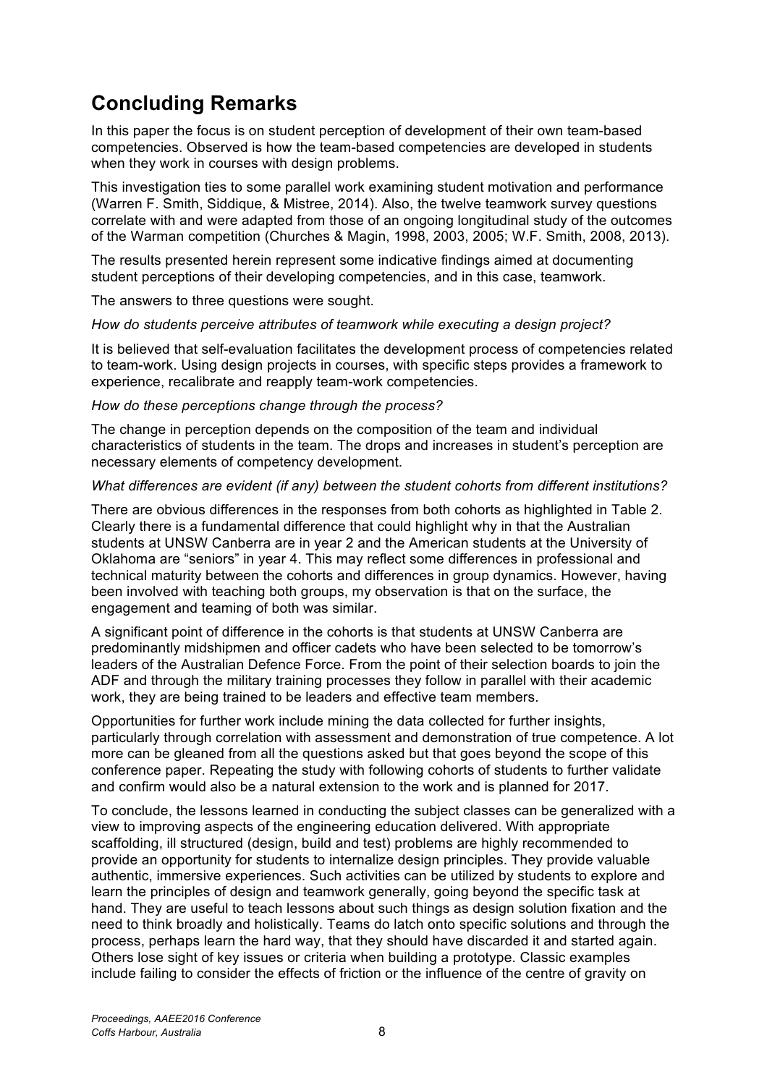# **Concluding Remarks**

In this paper the focus is on student perception of development of their own team-based competencies. Observed is how the team-based competencies are developed in students when they work in courses with design problems.

This investigation ties to some parallel work examining student motivation and performance (Warren F. Smith, Siddique, & Mistree, 2014). Also, the twelve teamwork survey questions correlate with and were adapted from those of an ongoing longitudinal study of the outcomes of the Warman competition (Churches & Magin, 1998, 2003, 2005; W.F. Smith, 2008, 2013).

The results presented herein represent some indicative findings aimed at documenting student perceptions of their developing competencies, and in this case, teamwork.

The answers to three questions were sought.

*How do students perceive attributes of teamwork while executing a design project?*

It is believed that self-evaluation facilitates the development process of competencies related to team-work. Using design projects in courses, with specific steps provides a framework to experience, recalibrate and reapply team-work competencies.

#### *How do these perceptions change through the process?*

The change in perception depends on the composition of the team and individual characteristics of students in the team. The drops and increases in student's perception are necessary elements of competency development.

#### *What differences are evident (if any) between the student cohorts from different institutions?*

There are obvious differences in the responses from both cohorts as highlighted in Table 2. Clearly there is a fundamental difference that could highlight why in that the Australian students at UNSW Canberra are in year 2 and the American students at the University of Oklahoma are "seniors" in year 4. This may reflect some differences in professional and technical maturity between the cohorts and differences in group dynamics. However, having been involved with teaching both groups, my observation is that on the surface, the engagement and teaming of both was similar.

A significant point of difference in the cohorts is that students at UNSW Canberra are predominantly midshipmen and officer cadets who have been selected to be tomorrow's leaders of the Australian Defence Force. From the point of their selection boards to join the ADF and through the military training processes they follow in parallel with their academic work, they are being trained to be leaders and effective team members.

Opportunities for further work include mining the data collected for further insights, particularly through correlation with assessment and demonstration of true competence. A lot more can be gleaned from all the questions asked but that goes beyond the scope of this conference paper. Repeating the study with following cohorts of students to further validate and confirm would also be a natural extension to the work and is planned for 2017.

To conclude, the lessons learned in conducting the subject classes can be generalized with a view to improving aspects of the engineering education delivered. With appropriate scaffolding, ill structured (design, build and test) problems are highly recommended to provide an opportunity for students to internalize design principles. They provide valuable authentic, immersive experiences. Such activities can be utilized by students to explore and learn the principles of design and teamwork generally, going beyond the specific task at hand. They are useful to teach lessons about such things as design solution fixation and the need to think broadly and holistically. Teams do latch onto specific solutions and through the process, perhaps learn the hard way, that they should have discarded it and started again. Others lose sight of key issues or criteria when building a prototype. Classic examples include failing to consider the effects of friction or the influence of the centre of gravity on